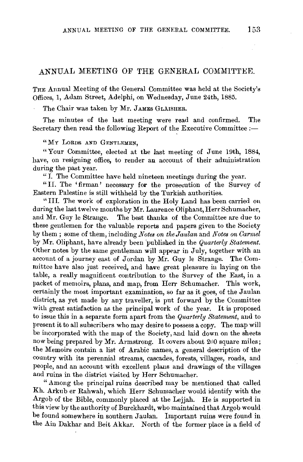## ANNUAL MEETING OF THE GENERAL COMMITTEE.

THE Annual Meeting of the General Committee was held at the Society's Offices, **1,** Adam Street, Adelphi, on Wednesday, June 24th, 1885.

The Chair was taken by Mr. JAMES GLAISHER.

The minutes of the last meeting were read and confirmed. The Secretary then read the following Report of the Executive Committee:-

"MY LoRDS AND GENTLEMEN,

"Your Committee, elected at the last meeting of June 19th, 1884, have, on resigning office, to render an account of their administration during the past year.

"I. The Committee have held nineteen meetings during the year.

"II. The 'firman' necessary for the prosecution of the Survey of Eastern Palestine is still withheld by the Turkish authorities.

"Ill. The work of exploration in the Holy Land has been carried on during the last twelve months by Mr. Laurence Oliphant, Herr Schumacher, and Mr. Guy le Strange. The best thanks of the Committee are due to these gentlemen for the valuable reports and papers given to the Society by them; some of them, including *Notes on theJaulan* and *Notes on Carmel*  by Mr. Oliphant, have already been published in the *Quarterly Statement*. Other notes by the same gentleman will appear in July, together with an account of a journey east of Jordan by Mr. Guy le Strange. The Committee have also just received, and have great pleasure in laying on the table, a really magnificent contribution to the Survey of the East, in a packet of memoirs, plans, and map, from Herr Schumacher. This work, certainly the most important examination, so far as it goes, of the Jaulan district, as yet made by any traveller, is put forward by the Committee with great satisfaction as the principal work of the year. It is proposed to issue this in a separate form apart from the *Quarterly Statement,* and to present it to all subscribers who may desire to possess a copy. The map will be incorporated with the map of the Society, and laid down on the sheets now being prepared by Mr. Armstrong. It covers about  $200$  square miles; the Memoirs contain a list of Arabic names, a general description of the country with its perennial streams, cascades, forests, villages, roads, and people, and an account with excellent plans and drawings of the villages and ruins in the district visited by Herr Schumacher.

"Among the principal ruins described may be mentioned that called Kh. Arkub er Rahwah, which Herr Schumacher would identify with the Argob of the Bible, commonly placed at the Lejjah. He is supported in this view by the authority of Burckhardt, who maintained that Argob would be found somewhere in southern Jaulan. Important ruins were found in the Ain Dakhar and Beit Akkar. North of the former place is a field of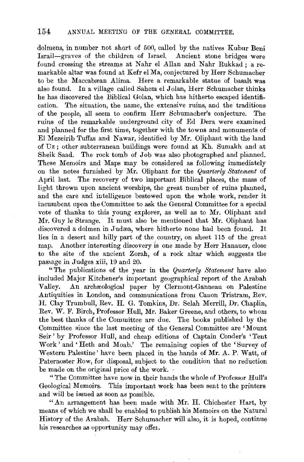dolmens, in number not short of 500, called by the natives Kubur Beni Israil-graves of the children of Israel. Ancient stone bridges were found crossing the streams at Nahr el Allan and Nahr Rukkad; a remarkable altar was found at Kefr el Ma, conjectured by Herr Schumacher to be the Maccabæan Alima. Here a remarkable statue of basalt was also found. In a village called Sahem el Jolan, Herr Schumacher thinks he has discovered the Biblical Golan, which has hitherto escaped identification. The situation, the name, the extensive ruins, and the traditions of the people, all seem to confirm Herr Schumacher's conjecture. The ruins of the remarkable underground city of Ed Dera were examined and planned for the first time, together with the towns and monuments of El Mezeirib Tuffas and Nawar, identified by Mr. Oliphant with the land of Uz; other subterranean buildings were found at Kh. Sumakh and at Sheik Saad. The rock tomb of Job was also photographed and planned. These Memoirs and Maps may be considered as following immediately on the notes furnished by Mr. Oliphant for the *Quarterly Statement* of April last. The recovery of two important Biblical places, the mass of light thrown upon ancient worships, the great number of ruins planned, and the care and intelligence bestowed upon the whole work, render it incumbent upon the Committee to ask the General Committee for a special vote of thanks to this young explorer, as well as to Mr. Oliphant and Mr. Guy le Strange. It must also be mentioned that Mr. Oliphant has discovered a dolmen in Judæa, where hitherto none had been found. It lies in a desert and hilly part of the country, on sheet 115 of the great map. Another interesting discovery is one made by Herr Hanauer, close to the site of the ancient Zorah, of a rock altar which suggests the pas5age in Judges xiii, 19 and 20.

"The publications of the year in the *Quarterly Statement* have also included Major Kitchener's important geographical report of the Arabah Valley. An archaeological paper by Clermont-Ganneau on Palestine Antiquities in London, and communications from Canon Tristram, Rev. H. Clay Trumbull, Rev. H. G. Tomkins, Dr. Selah Merrill, Dr. Chaplin, Rev. W. F. Birch, Professor Hull, Mr. Baker Greene, and others, to whom the best thanks of the Committee are due. The books published by the Committee since the last meeting of the General Committee are 'Mount Seir' by Professor Hull, and cheap editions of Captain Conder's 'Tent Work' and 'Heth and Moab.' The remaining copies of the 'Survey of Western Palestine' have been placed in the hands of Mr. A. P. Watt, of Paternoster Row, for disposal, subject to the condition that no reduction be made on the original price of the work. -

"The Committee have now in their hands the whole of Professor Hull's Geological Memoirs. This important work has been sent to the printers and will be issued as soon as possible.

"An arrangement has been made with Mr. H. Chichester Hart, by means of which we shall be enabled to publish his Memoirs on the Natural History of the Arabah. Herr Schumacher will also, it is hoped, continue his researches as opportunity may offei.